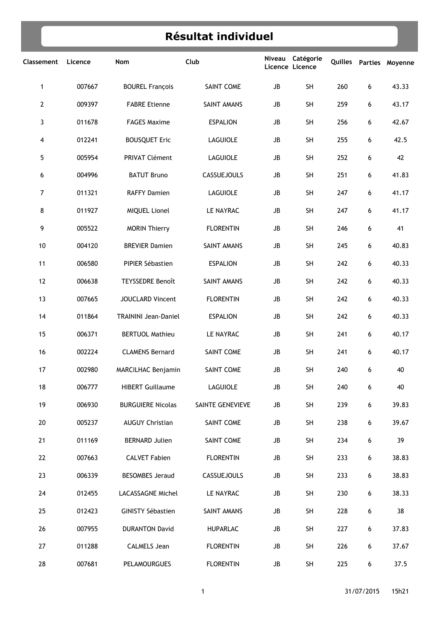## **RÈsultat individuel**

| Classement   | Licence | Nom                         | Club               | Niveau<br>Licence Licence | Catégorie |     |   | Quilles Parties Moyenne |
|--------------|---------|-----------------------------|--------------------|---------------------------|-----------|-----|---|-------------------------|
| $\mathbf{1}$ | 007667  | <b>BOUREL François</b>      | SAINT COME         | JB                        | <b>SH</b> | 260 | 6 | 43.33                   |
| $\mathbf{2}$ | 009397  | <b>FABRE Etienne</b>        | SAINT AMANS        | JB                        | <b>SH</b> | 259 | 6 | 43.17                   |
| 3            | 011678  | <b>FAGES Maxime</b>         | <b>ESPALION</b>    | JB                        | <b>SH</b> | 256 | 6 | 42.67                   |
| 4            | 012241  | <b>BOUSQUET Eric</b>        | LAGUIOLE           | JB                        | <b>SH</b> | 255 | 6 | 42.5                    |
| 5            | 005954  | <b>PRIVAT Clément</b>       | LAGUIOLE           | JB                        | SH        | 252 | 6 | 42                      |
| 6            | 004996  | <b>BATUT Bruno</b>          | CASSUEJOULS        | JB                        | SH        | 251 | 6 | 41.83                   |
| 7            | 011321  | <b>RAFFY Damien</b>         | LAGUIOLE           | JB                        | SH        | 247 | 6 | 41.17                   |
| 8            | 011927  | <b>MIQUEL Lionel</b>        | LE NAYRAC          | JB                        | SH        | 247 | 6 | 41.17                   |
| 9            | 005522  | <b>MORIN Thierry</b>        | <b>FLORENTIN</b>   | JB                        | SH        | 246 | 6 | 41                      |
| 10           | 004120  | <b>BREVIER Damien</b>       | SAINT AMANS        | JB                        | <b>SH</b> | 245 | 6 | 40.83                   |
| 11           | 006580  | PIPIER Sébastien            | <b>ESPALION</b>    | JB                        | <b>SH</b> | 242 | 6 | 40.33                   |
| 12           | 006638  | <b>TEYSSEDRE Benoît</b>     | SAINT AMANS        | JB                        | <b>SH</b> | 242 | 6 | 40.33                   |
| 13           | 007665  | <b>JOUCLARD Vincent</b>     | <b>FLORENTIN</b>   | JB                        | SH        | 242 | 6 | 40.33                   |
| 14           | 011864  | <b>TRAININI Jean-Daniel</b> | <b>ESPALION</b>    | JB                        | SH        | 242 | 6 | 40.33                   |
| 15           | 006371  | <b>BERTUOL Mathieu</b>      | LE NAYRAC          | JB                        | SH        | 241 | 6 | 40.17                   |
| 16           | 002224  | <b>CLAMENS Bernard</b>      | SAINT COME         | JB                        | SH        | 241 | 6 | 40.17                   |
| 17           | 002980  | MARCILHAC Benjamin          | <b>SAINT COME</b>  | JB                        | SH        | 240 | 6 | 40                      |
| 18           | 006777  | <b>HIBERT Guillaume</b>     | LAGUIOLE           | JB                        | SH        | 240 | 6 | 40                      |
| 19           | 006930  | <b>BURGUIERE Nicolas</b>    | SAINTE GENEVIEVE   | JB                        | SH        | 239 | 6 | 39.83                   |
| 20           | 005237  | <b>AUGUY Christian</b>      | SAINT COME         | JB                        | SH        | 238 | 6 | 39.67                   |
| 21           | 011169  | <b>BERNARD Julien</b>       | SAINT COME         | JB                        | SH        | 234 | 6 | 39                      |
| 22           | 007663  | <b>CALVET Fabien</b>        | <b>FLORENTIN</b>   | JB                        | SH        | 233 | 6 | 38.83                   |
| 23           | 006339  | <b>BESOMBES Jeraud</b>      | <b>CASSUEJOULS</b> | JB                        | SH        | 233 | 6 | 38.83                   |
| 24           | 012455  | LACASSAGNE Michel           | LE NAYRAC          | JB                        | SH        | 230 | 6 | 38.33                   |
| 25           | 012423  | <b>GINISTY Sébastien</b>    | SAINT AMANS        | JB                        | SH        | 228 | 6 | 38                      |
| 26           | 007955  | <b>DURANTON David</b>       | <b>HUPARLAC</b>    | JB                        | SH        | 227 | 6 | 37.83                   |
| 27           | 011288  | <b>CALMELS Jean</b>         | <b>FLORENTIN</b>   | JB                        | SH        | 226 | 6 | 37.67                   |
| 28           | 007681  | <b>PELAMOURGUES</b>         | <b>FLORENTIN</b>   | JB                        | SH        | 225 | 6 | 37.5                    |